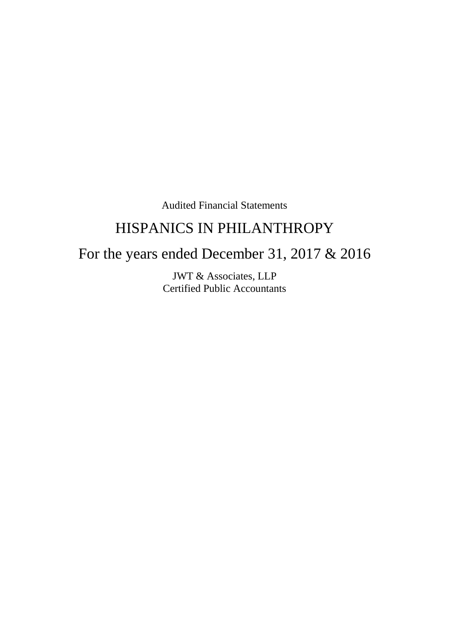Audited Financial Statements

# HISPANICS IN PHILANTHROPY

# For the years ended December 31, 2017 & 2016

JWT & Associates, LLP Certified Public Accountants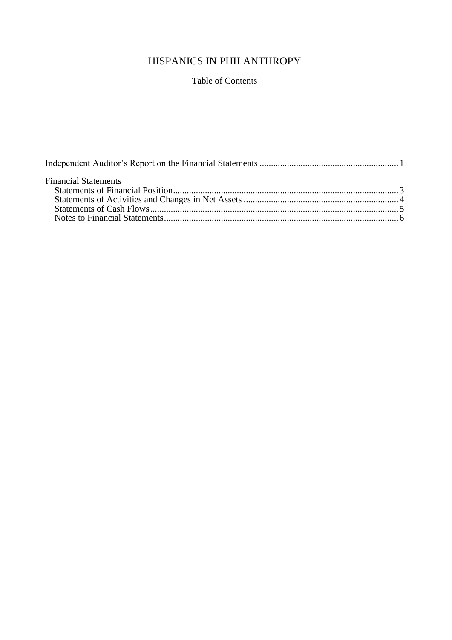# Table of Contents

| <b>Financial Statements</b> |  |
|-----------------------------|--|
|                             |  |
|                             |  |
|                             |  |
|                             |  |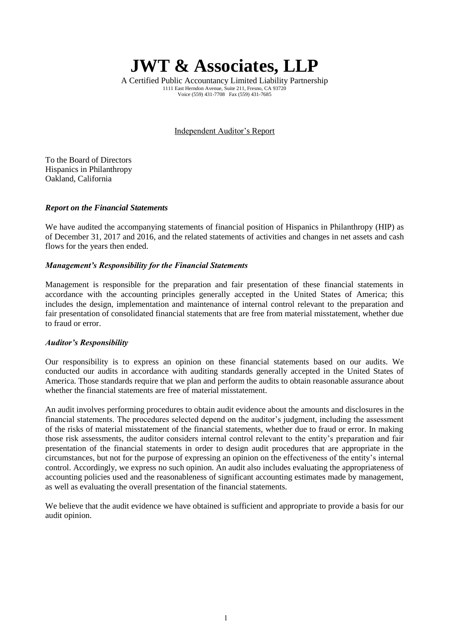**JWT & Associates, LLP**

A Certified Public Accountancy Limited Liability Partnership 1111 East Herndon Avenue, Suite 211, Fresno, CA 93720 Voice (559) 431-7708 Fax (559) 431-7685

#### Independent Auditor's Report

To the Board of Directors Hispanics in Philanthropy Oakland, California

#### *Report on the Financial Statements*

We have audited the accompanying statements of financial position of Hispanics in Philanthropy (HIP) as of December 31, 2017 and 2016, and the related statements of activities and changes in net assets and cash flows for the years then ended.

#### *Management's Responsibility for the Financial Statements*

Management is responsible for the preparation and fair presentation of these financial statements in accordance with the accounting principles generally accepted in the United States of America; this includes the design, implementation and maintenance of internal control relevant to the preparation and fair presentation of consolidated financial statements that are free from material misstatement, whether due to fraud or error.

#### *Auditor's Responsibility*

Our responsibility is to express an opinion on these financial statements based on our audits. We conducted our audits in accordance with auditing standards generally accepted in the United States of America. Those standards require that we plan and perform the audits to obtain reasonable assurance about whether the financial statements are free of material misstatement.

An audit involves performing procedures to obtain audit evidence about the amounts and disclosures in the financial statements. The procedures selected depend on the auditor's judgment, including the assessment of the risks of material misstatement of the financial statements, whether due to fraud or error. In making those risk assessments, the auditor considers internal control relevant to the entity's preparation and fair presentation of the financial statements in order to design audit procedures that are appropriate in the circumstances, but not for the purpose of expressing an opinion on the effectiveness of the entity's internal control. Accordingly, we express no such opinion. An audit also includes evaluating the appropriateness of accounting policies used and the reasonableness of significant accounting estimates made by management, as well as evaluating the overall presentation of the financial statements.

We believe that the audit evidence we have obtained is sufficient and appropriate to provide a basis for our audit opinion.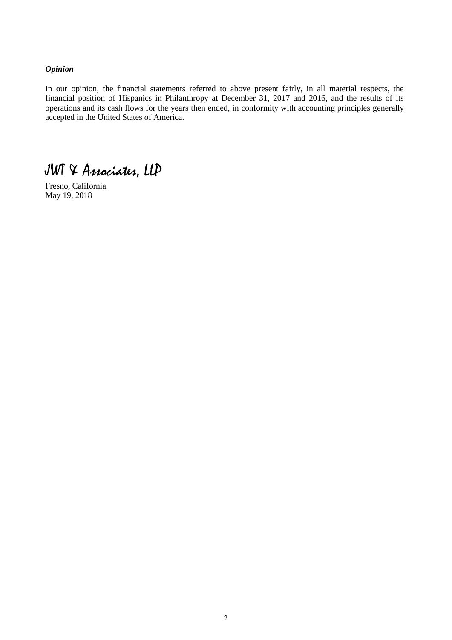#### *Opinion*

In our opinion, the financial statements referred to above present fairly, in all material respects, the financial position of Hispanics in Philanthropy at December 31, 2017 and 2016, and the results of its operations and its cash flows for the years then ended, in conformity with accounting principles generally accepted in the United States of America.

JWT & Associates, LLP

Fresno, California May 19, 2018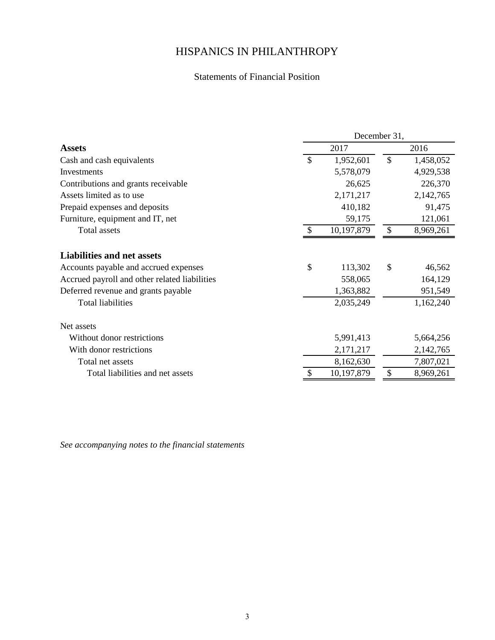# Statements of Financial Position

|                                               | December 31,  |            |               |           |  |  |
|-----------------------------------------------|---------------|------------|---------------|-----------|--|--|
| <b>Assets</b>                                 | 2017          |            |               | 2016      |  |  |
| Cash and cash equivalents                     | $\mathcal{S}$ | 1,952,601  | $\mathcal{S}$ | 1,458,052 |  |  |
| Investments                                   |               | 5,578,079  |               | 4,929,538 |  |  |
| Contributions and grants receivable           |               | 26,625     |               | 226,370   |  |  |
| Assets limited as to use                      |               | 2,171,217  |               | 2,142,765 |  |  |
| Prepaid expenses and deposits                 |               | 410,182    |               | 91,475    |  |  |
| Furniture, equipment and IT, net              |               | 59,175     |               | 121,061   |  |  |
| Total assets                                  |               | 10,197,879 | \$            | 8,969,261 |  |  |
| <b>Liabilities and net assets</b>             |               |            |               |           |  |  |
| Accounts payable and accrued expenses         | $\mathcal{S}$ | 113,302    | $\mathcal{S}$ | 46,562    |  |  |
| Accrued payroll and other related liabilities |               | 558,065    |               | 164,129   |  |  |
| Deferred revenue and grants payable           |               | 1,363,882  |               | 951,549   |  |  |
| <b>Total liabilities</b>                      |               | 2,035,249  |               | 1,162,240 |  |  |
| Net assets                                    |               |            |               |           |  |  |
| Without donor restrictions                    |               | 5,991,413  |               | 5,664,256 |  |  |
| With donor restrictions                       |               | 2,171,217  |               | 2,142,765 |  |  |
| Total net assets                              |               | 8,162,630  |               | 7,807,021 |  |  |
| Total liabilities and net assets              |               | 10,197,879 | \$            | 8,969,261 |  |  |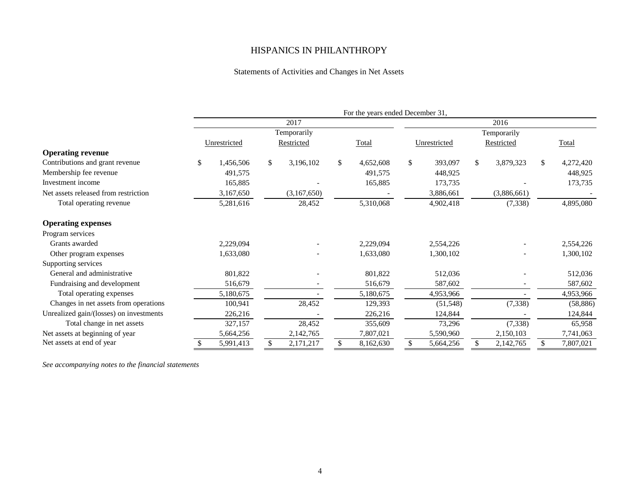#### Statements of Activities and Changes in Net Assets

|                                         |               | For the years ended December 31, |              |                   |              |           |    |              |    |             |    |           |
|-----------------------------------------|---------------|----------------------------------|--------------|-------------------|--------------|-----------|----|--------------|----|-------------|----|-----------|
|                                         |               | 2017                             |              |                   |              |           |    |              |    | 2016        |    |           |
|                                         |               |                                  |              | Temporarily       |              |           |    |              |    | Temporarily |    |           |
|                                         |               | Unrestricted                     |              | <b>Restricted</b> |              | Total     |    | Unrestricted |    | Restricted  |    | Total     |
| <b>Operating revenue</b>                |               |                                  |              |                   |              |           |    |              |    |             |    |           |
| Contributions and grant revenue         | \$.           | 1,456,506                        | $\mathbb{S}$ | 3,196,102         | $\mathbb{S}$ | 4,652,608 | \$ | 393,097      | \$ | 3,879,323   | \$ | 4,272,420 |
| Membership fee revenue                  |               | 491,575                          |              |                   |              | 491,575   |    | 448,925      |    |             |    | 448,925   |
| Investment income                       |               | 165,885                          |              |                   |              | 165,885   |    | 173,735      |    |             |    | 173,735   |
| Net assets released from restriction    |               | 3,167,650                        |              | (3,167,650)       |              |           |    | 3,886,661    |    | (3,886,661) |    |           |
| Total operating revenue                 |               | 5,281,616                        |              | 28,452            |              | 5,310,068 |    | 4,902,418    |    | (7, 338)    |    | 4,895,080 |
| <b>Operating expenses</b>               |               |                                  |              |                   |              |           |    |              |    |             |    |           |
| Program services                        |               |                                  |              |                   |              |           |    |              |    |             |    |           |
| Grants awarded                          |               | 2,229,094                        |              |                   |              | 2,229,094 |    | 2,554,226    |    |             |    | 2,554,226 |
| Other program expenses                  |               | 1,633,080                        |              |                   |              | 1,633,080 |    | 1,300,102    |    |             |    | 1,300,102 |
| Supporting services                     |               |                                  |              |                   |              |           |    |              |    |             |    |           |
| General and administrative              |               | 801,822                          |              |                   |              | 801,822   |    | 512,036      |    |             |    | 512,036   |
| Fundraising and development             |               | 516,679                          |              |                   |              | 516,679   |    | 587,602      |    |             |    | 587,602   |
| Total operating expenses                |               | 5,180,675                        |              |                   |              | 5,180,675 |    | 4,953,966    |    |             |    | 4,953,966 |
| Changes in net assets from operations   |               | 100,941                          |              | 28,452            |              | 129,393   |    | (51, 548)    |    | (7, 338)    |    | (58, 886) |
| Unrealized gain/(losses) on investments |               | 226,216                          |              |                   |              | 226,216   |    | 124,844      |    |             |    | 124,844   |
| Total change in net assets              |               | 327,157                          |              | 28,452            |              | 355,609   |    | 73,296       |    | (7, 338)    |    | 65,958    |
| Net assets at beginning of year         |               | 5,664,256                        |              | 2,142,765         |              | 7,807,021 |    | 5,590,960    |    | 2,150,103   |    | 7,741,063 |
| Net assets at end of year               | <sup>\$</sup> | 5,991,413                        | \$           | 2,171,217         | \$           | 8,162,630 | \$ | 5,664,256    | \$ | 2,142,765   | \$ | 7,807,021 |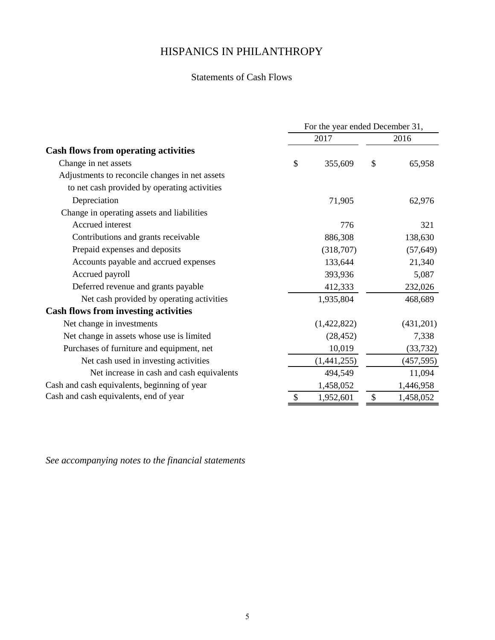# Statements of Cash Flows

|                                                |               |             | For the year ended December 31, |            |  |
|------------------------------------------------|---------------|-------------|---------------------------------|------------|--|
|                                                |               | 2017        |                                 | 2016       |  |
| <b>Cash flows from operating activities</b>    |               |             |                                 |            |  |
| Change in net assets                           | $\mathcal{S}$ | 355,609     | \$                              | 65,958     |  |
| Adjustments to reconcile changes in net assets |               |             |                                 |            |  |
| to net cash provided by operating activities   |               |             |                                 |            |  |
| Depreciation                                   |               | 71,905      |                                 | 62,976     |  |
| Change in operating assets and liabilities     |               |             |                                 |            |  |
| Accrued interest                               |               | 776         |                                 | 321        |  |
| Contributions and grants receivable            |               | 886,308     |                                 | 138,630    |  |
| Prepaid expenses and deposits                  |               | (318,707)   |                                 | (57, 649)  |  |
| Accounts payable and accrued expenses          |               | 133,644     |                                 | 21,340     |  |
| Accrued payroll                                |               | 393,936     |                                 | 5,087      |  |
| Deferred revenue and grants payable            |               | 412,333     |                                 | 232,026    |  |
| Net cash provided by operating activities      |               | 1,935,804   |                                 | 468,689    |  |
| <b>Cash flows from investing activities</b>    |               |             |                                 |            |  |
| Net change in investments                      |               | (1,422,822) |                                 | (431,201)  |  |
| Net change in assets whose use is limited      |               | (28, 452)   |                                 | 7,338      |  |
| Purchases of furniture and equipment, net      |               | 10,019      |                                 | (33, 732)  |  |
| Net cash used in investing activities          |               | (1,441,255) |                                 | (457, 595) |  |
| Net increase in cash and cash equivalents      |               | 494,549     |                                 | 11,094     |  |
| Cash and cash equivalents, beginning of year   |               | 1,458,052   |                                 | 1,446,958  |  |
| Cash and cash equivalents, end of year         | \$            | 1,952,601   | \$                              | 1,458,052  |  |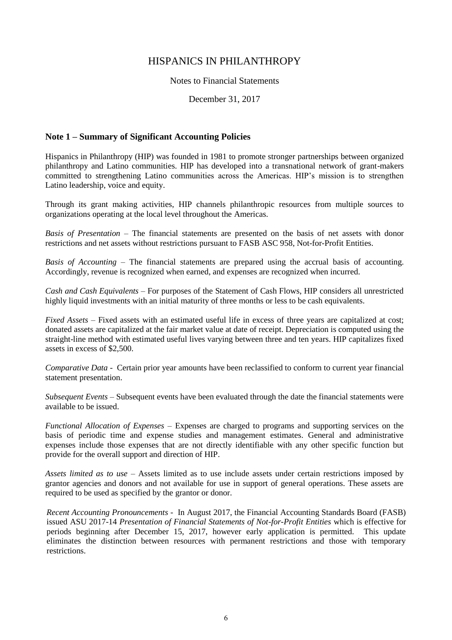#### Notes to Financial Statements

December 31, 2017

#### **Note 1 – Summary of Significant Accounting Policies**

Hispanics in Philanthropy (HIP) was founded in 1981 to promote stronger partnerships between organized philanthropy and Latino communities. HIP has developed into a transnational network of grant-makers committed to strengthening Latino communities across the Americas. HIP's mission is to strengthen Latino leadership, voice and equity.

Through its grant making activities, HIP channels philanthropic resources from multiple sources to organizations operating at the local level throughout the Americas.

*Basis of Presentation* – The financial statements are presented on the basis of net assets with donor restrictions and net assets without restrictions pursuant to FASB ASC 958, Not-for-Profit Entities.

*Basis of Accounting* – The financial statements are prepared using the accrual basis of accounting. Accordingly, revenue is recognized when earned, and expenses are recognized when incurred.

*Cash and Cash Equivalents* – For purposes of the Statement of Cash Flows, HIP considers all unrestricted highly liquid investments with an initial maturity of three months or less to be cash equivalents.

*Fixed Assets* – Fixed assets with an estimated useful life in excess of three years are capitalized at cost; donated assets are capitalized at the fair market value at date of receipt. Depreciation is computed using the straight-line method with estimated useful lives varying between three and ten years. HIP capitalizes fixed assets in excess of \$2,500.

*Comparative Data -* Certain prior year amounts have been reclassified to conform to current year financial statement presentation.

*Subsequent Events* – Subsequent events have been evaluated through the date the financial statements were available to be issued.

*Functional Allocation of Expenses* – Expenses are charged to programs and supporting services on the basis of periodic time and expense studies and management estimates. General and administrative expenses include those expenses that are not directly identifiable with any other specific function but provide for the overall support and direction of HIP.

*Assets limited as to use* – Assets limited as to use include assets under certain restrictions imposed by grantor agencies and donors and not available for use in support of general operations. These assets are required to be used as specified by the grantor or donor.

*Recent Accounting Pronouncements -* In August 2017, the Financial Accounting Standards Board (FASB) issued ASU 2017-14 *Presentation of Financial Statements of Not-for-Profit Entities* which is effective for periods beginning after December 15, 2017, however early application is permitted. This update eliminates the distinction between resources with permanent restrictions and those with temporary restrictions.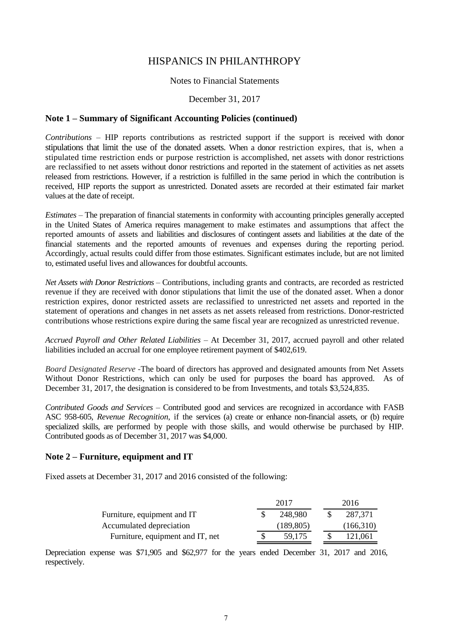#### Notes to Financial Statements

#### December 31, 2017

#### **Note 1 – Summary of Significant Accounting Policies (continued)**

*Contributions* – HIP reports contributions as restricted support if the support is received with donor stipulations that limit the use of the donated assets. When a donor restriction expires, that is, when a stipulated time restriction ends or purpose restriction is accomplished, net assets with donor restrictions are reclassified to net assets without donor restrictions and reported in the statement of activities as net assets released from restrictions. However, if a restriction is fulfilled in the same period in which the contribution is received, HIP reports the support as unrestricted. Donated assets are recorded at their estimated fair market values at the date of receipt.

*Estimates* – The preparation of financial statements in conformity with accounting principles generally accepted in the United States of America requires management to make estimates and assumptions that affect the reported amounts of assets and liabilities and disclosures of contingent assets and liabilities at the date of the financial statements and the reported amounts of revenues and expenses during the reporting period. Accordingly, actual results could differ from those estimates. Significant estimates include, but are not limited to, estimated useful lives and allowances for doubtful accounts.

*Net Assets with Donor Restrictions* – Contributions, including grants and contracts, are recorded as restricted revenue if they are received with donor stipulations that limit the use of the donated asset. When a donor restriction expires, donor restricted assets are reclassified to unrestricted net assets and reported in the statement of operations and changes in net assets as net assets released from restrictions. Donor-restricted contributions whose restrictions expire during the same fiscal year are recognized as unrestricted revenue.

*Accrued Payroll and Other Related Liabilities* – At December 31, 2017, accrued payroll and other related liabilities included an accrual for one employee retirement payment of \$402,619.

*Board Designated Reserve -*The board of directors has approved and designated amounts from Net Assets Without Donor Restrictions, which can only be used for purposes the board has approved. As of December 31, 2017, the designation is considered to be from Investments, and totals \$3,524,835.

*Contributed Goods and Services –* Contributed good and services are recognized in accordance with FASB ASC 958-605, *Revenue Recognition*, if the services (a) create or enhance non-financial assets, or (b) require specialized skills, are performed by people with those skills, and would otherwise be purchased by HIP. Contributed goods as of December 31, 2017 was \$4,000.

#### **Note 2 – Furniture, equipment and IT**

Fixed assets at December 31, 2017 and 2016 consisted of the following:

|                                  | 2017       | 2016      |
|----------------------------------|------------|-----------|
| Furniture, equipment and IT      | 248.980    | 287,371   |
| Accumulated depreciation         | (189, 805) | (166,310) |
| Furniture, equipment and IT, net | 59.175     | 121.061   |

Depreciation expense was \$71,905 and \$62,977 for the years ended December 31, 2017 and 2016, respectively.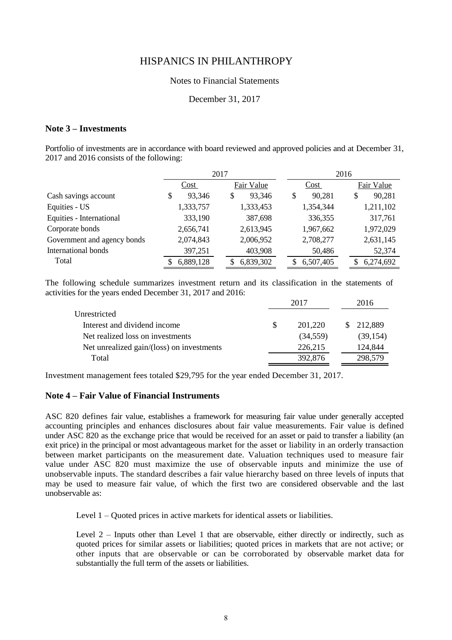#### Notes to Financial Statements

#### December 31, 2017

#### **Note 3 – Investments**

Portfolio of investments are in accordance with board reviewed and approved policies and at December 31, 2017 and 2016 consists of the following:

|                             | 2017         |             | 2016         |             |  |  |
|-----------------------------|--------------|-------------|--------------|-------------|--|--|
|                             | <u>Cost</u>  | Fair Value  | Cost         | Fair Value  |  |  |
| Cash savings account        | 93,346<br>\$ | 93,346<br>S | \$<br>90,281 | 90,281<br>S |  |  |
| Equities - US               | 1,333,757    | 1,333,453   | 1,354,344    | 1,211,102   |  |  |
| Equities - International    | 333,190      | 387,698     | 336,355      | 317,761     |  |  |
| Corporate bonds             | 2,656,741    | 2,613,945   | 1,967,662    | 1,972,029   |  |  |
| Government and agency bonds | 2,074,843    | 2,006,952   | 2,708,277    | 2,631,145   |  |  |
| International bonds         | 397,251      | 403,908     | 50,486       | 52,374      |  |  |
| Total                       | 6,889,128    | 6,839,302   | 6,507,405    | 6,274,692   |  |  |

The following schedule summarizes investment return and its classification in the statements of activities for the years ended December 31, 2017 and 2016:

|                                           |     | 2017      | 2016       |
|-------------------------------------------|-----|-----------|------------|
| Unrestricted                              |     |           |            |
| Interest and dividend income              | \$. | 201.220   | \$ 212,889 |
| Net realized loss on investments          |     | (34, 559) | (39, 154)  |
| Net unrealized gain/(loss) on investments |     | 226,215   | 124,844    |
| Total                                     |     | 392,876   | 298,579    |

Investment management fees totaled \$29,795 for the year ended December 31, 2017.

#### **Note 4 – Fair Value of Financial Instruments**

ASC 820 defines fair value, establishes a framework for measuring fair value under generally accepted accounting principles and enhances disclosures about fair value measurements. Fair value is defined under ASC 820 as the exchange price that would be received for an asset or paid to transfer a liability (an exit price) in the principal or most advantageous market for the asset or liability in an orderly transaction between market participants on the measurement date. Valuation techniques used to measure fair value under ASC 820 must maximize the use of observable inputs and minimize the use of unobservable inputs. The standard describes a fair value hierarchy based on three levels of inputs that may be used to measure fair value, of which the first two are considered observable and the last unobservable as:

Level 1 – Quoted prices in active markets for identical assets or liabilities.

Level 2 – Inputs other than Level 1 that are observable, either directly or indirectly, such as quoted prices for similar assets or liabilities; quoted prices in markets that are not active; or other inputs that are observable or can be corroborated by observable market data for substantially the full term of the assets or liabilities.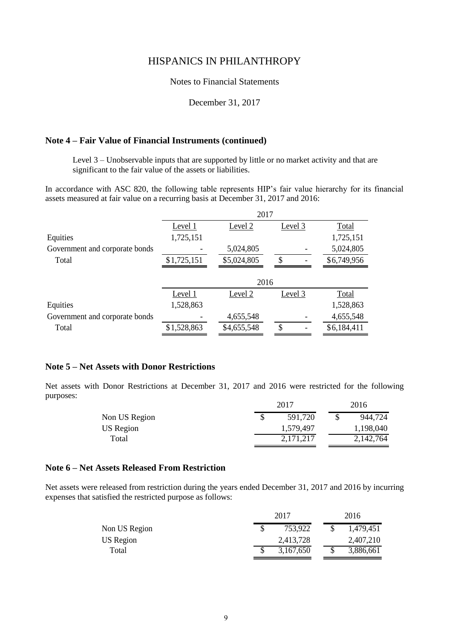#### Notes to Financial Statements

December 31, 2017

#### **Note 4 – Fair Value of Financial Instruments (continued)**

Level 3 – Unobservable inputs that are supported by little or no market activity and that are significant to the fair value of the assets or liabilities.

In accordance with ASC 820, the following table represents HIP's fair value hierarchy for its financial assets measured at fair value on a recurring basis at December 31, 2017 and 2016:

|                                | 2017        |             |         |             |  |  |  |
|--------------------------------|-------------|-------------|---------|-------------|--|--|--|
|                                | Level 1     | Level 2     | Level 3 | Total       |  |  |  |
| Equities                       | 1,725,151   |             |         | 1,725,151   |  |  |  |
| Government and corporate bonds |             | 5,024,805   |         | 5,024,805   |  |  |  |
| Total                          | \$1,725,151 | \$5,024,805 | \$.     | \$6,749,956 |  |  |  |
|                                | 2016        |             |         |             |  |  |  |
|                                | Level 1     | Level 2     | Level 3 | Total       |  |  |  |
| Equities                       | 1,528,863   |             |         | 1,528,863   |  |  |  |
| Government and corporate bonds |             | 4,655,548   |         | 4,655,548   |  |  |  |
| Total                          | \$1,528,863 | \$4,655,548 | \$      | \$6,184,411 |  |  |  |

#### **Note 5 – Net Assets with Donor Restrictions**

Net assets with Donor Restrictions at December 31, 2017 and 2016 were restricted for the following purposes:

|               |  |           | 2016 |           |  |
|---------------|--|-----------|------|-----------|--|
| Non US Region |  | 591,720   | ъ    | 944,724   |  |
| US Region     |  | 1,579,497 |      | 1,198,040 |  |
| Total         |  | 2,171,217 |      | 2,142,764 |  |

#### **Note 6 – Net Assets Released From Restriction**

Net assets were released from restriction during the years ended December 31, 2017 and 2016 by incurring expenses that satisfied the restricted purpose as follows:

|               |  | 2016      |  |           |
|---------------|--|-----------|--|-----------|
| Non US Region |  | 753,922   |  | 1,479,451 |
| US Region     |  | 2,413,728 |  | 2,407,210 |
| Total         |  | 3,167,650 |  | 3,886,661 |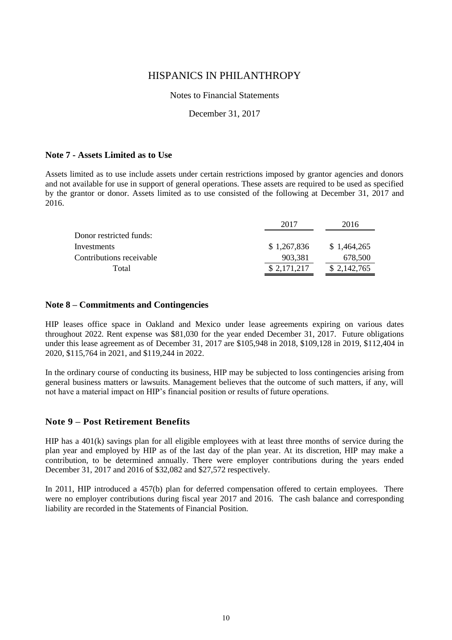#### Notes to Financial Statements

December 31, 2017

#### **Note 7 - Assets Limited as to Use**

Assets limited as to use include assets under certain restrictions imposed by grantor agencies and donors and not available for use in support of general operations. These assets are required to be used as specified by the grantor or donor. Assets limited as to use consisted of the following at December 31, 2017 and 2016.

|                          | 2017        | 2016        |
|--------------------------|-------------|-------------|
| Donor restricted funds:  |             |             |
| Investments              | \$1,267,836 | \$1,464,265 |
| Contributions receivable | 903.381     | 678,500     |
| Total                    | \$2,171,217 | \$2,142,765 |

#### **Note 8 – Commitments and Contingencies**

HIP leases office space in Oakland and Mexico under lease agreements expiring on various dates throughout 2022. Rent expense was \$81,030 for the year ended December 31, 2017. Future obligations under this lease agreement as of December 31, 2017 are \$105,948 in 2018, \$109,128 in 2019, \$112,404 in 2020, \$115,764 in 2021, and \$119,244 in 2022.

In the ordinary course of conducting its business, HIP may be subjected to loss contingencies arising from general business matters or lawsuits. Management believes that the outcome of such matters, if any, will not have a material impact on HIP's financial position or results of future operations.

#### **Note 9 – Post Retirement Benefits**

HIP has a 401(k) savings plan for all eligible employees with at least three months of service during the plan year and employed by HIP as of the last day of the plan year. At its discretion, HIP may make a contribution, to be determined annually. There were employer contributions during the years ended December 31, 2017 and 2016 of \$32,082 and \$27,572 respectively.

In 2011, HIP introduced a 457(b) plan for deferred compensation offered to certain employees. There were no employer contributions during fiscal year 2017 and 2016. The cash balance and corresponding liability are recorded in the Statements of Financial Position.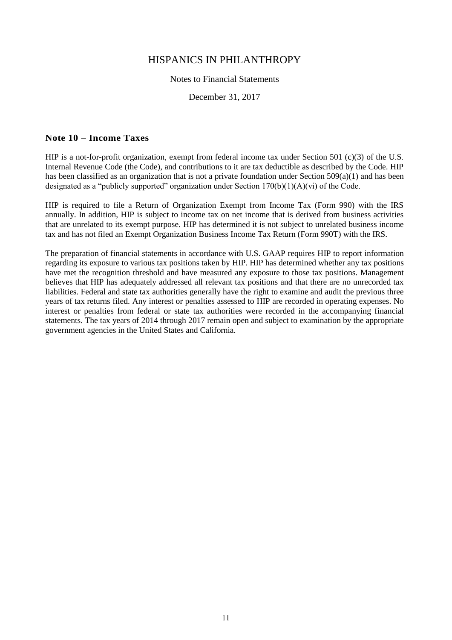#### Notes to Financial Statements

#### December 31, 2017

#### **Note 10 – Income Taxes**

HIP is a not-for-profit organization, exempt from federal income tax under Section 501 (c)(3) of the U.S. Internal Revenue Code (the Code), and contributions to it are tax deductible as described by the Code. HIP has been classified as an organization that is not a private foundation under Section 509(a)(1) and has been designated as a "publicly supported" organization under Section  $170(b)(1)(A)(vi)$  of the Code.

HIP is required to file a Return of Organization Exempt from Income Tax (Form 990) with the IRS annually. In addition, HIP is subject to income tax on net income that is derived from business activities that are unrelated to its exempt purpose. HIP has determined it is not subject to unrelated business income tax and has not filed an Exempt Organization Business Income Tax Return (Form 990T) with the IRS.

The preparation of financial statements in accordance with U.S. GAAP requires HIP to report information regarding its exposure to various tax positions taken by HIP. HIP has determined whether any tax positions have met the recognition threshold and have measured any exposure to those tax positions. Management believes that HIP has adequately addressed all relevant tax positions and that there are no unrecorded tax liabilities. Federal and state tax authorities generally have the right to examine and audit the previous three years of tax returns filed. Any interest or penalties assessed to HIP are recorded in operating expenses. No interest or penalties from federal or state tax authorities were recorded in the accompanying financial statements. The tax years of 2014 through 2017 remain open and subject to examination by the appropriate government agencies in the United States and California.